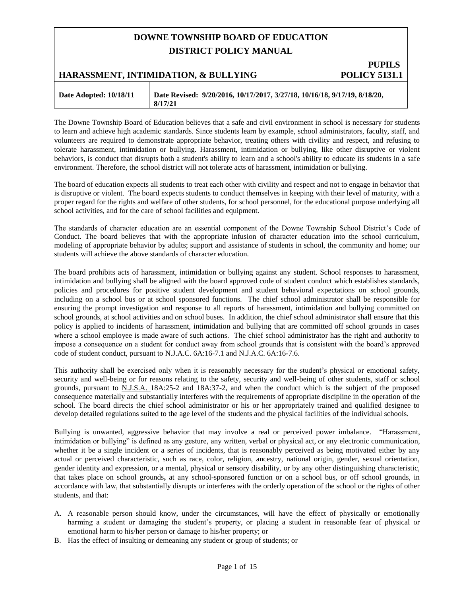# **DOWNE TOWNSHIP BOARD OF EDUCATION DISTRICT POLICY MANUAL**

# **PUPILS HARASSMENT, INTIMIDATION, & BULLYING POLICY 5131.1**

| Date Adopted: 10/18/11 | Date Revised: 9/20/2016, 10/17/2017, 3/27/18, 10/16/18, 9/17/19, 8/18/20,<br>8/17/21 |
|------------------------|--------------------------------------------------------------------------------------|
|                        |                                                                                      |

The Downe Township Board of Education believes that a safe and civil environment in school is necessary for students to learn and achieve high academic standards. Since students learn by example, school administrators, faculty, staff, and volunteers are required to demonstrate appropriate behavior, treating others with civility and respect, and refusing to tolerate harassment, intimidation or bullying. Harassment, intimidation or bullying, like other disruptive or violent behaviors, is conduct that disrupts both a student's ability to learn and a school's ability to educate its students in a safe environment. Therefore, the school district will not tolerate acts of harassment, intimidation or bullying.

The board of education expects all students to treat each other with civility and respect and not to engage in behavior that is disruptive or violent. The board expects students to conduct themselves in keeping with their level of maturity, with a proper regard for the rights and welfare of other students, for school personnel, for the educational purpose underlying all school activities, and for the care of school facilities and equipment.

The standards of character education are an essential component of the Downe Township School District's Code of Conduct. The board believes that with the appropriate infusion of character education into the school curriculum, modeling of appropriate behavior by adults; support and assistance of students in school, the community and home; our students will achieve the above standards of character education.

The board prohibits acts of harassment, intimidation or bullying against any student. School responses to harassment, intimidation and bullying shall be aligned with the board approved code of student conduct which establishes standards, policies and procedures for positive student development and student behavioral expectations on school grounds, including on a school bus or at school sponsored functions. The chief school administrator shall be responsible for ensuring the prompt investigation and response to all reports of harassment, intimidation and bullying committed on school grounds, at school activities and on school buses. In addition, the chief school administrator shall ensure that this policy is applied to incidents of harassment, intimidation and bullying that are committed off school grounds in cases where a school employee is made aware of such actions. The chief school administrator has the right and authority to impose a consequence on a student for conduct away from school grounds that is consistent with the board's approved code of student conduct, pursuant to N.J.A.C. 6A:16-7.1 and N.J.A.C. 6A:16-7.6.

This authority shall be exercised only when it is reasonably necessary for the student's physical or emotional safety, security and well-being or for reasons relating to the safety, security and well-being of other students, staff or school grounds, pursuant to N.J.S.A. 18A:25-2 and 18A:37-2, and when the conduct which is the subject of the proposed consequence materially and substantially interferes with the requirements of appropriate discipline in the operation of the school. The board directs the chief school administrator or his or her appropriately trained and qualified designee to develop detailed regulations suited to the age level of the students and the physical facilities of the individual schools.

Bullying is unwanted, aggressive behavior that may involve a real or perceived power imbalance. "Harassment, intimidation or bullying" is defined as any gesture, any written, verbal or physical act, or any electronic communication, whether it be a single incident or a series of incidents, that is reasonably perceived as being motivated either by any actual or perceived characteristic, such as race, color, religion, ancestry, national origin, gender, sexual orientation, gender identity and expression, or a mental, physical or sensory disability, or by any other distinguishing characteristic, that takes place on school grounds**,** at any school-sponsored function or on a school bus, or off school grounds, in accordance with law, that substantially disrupts or interferes with the orderly operation of the school or the rights of other students, and that:

- A. A reasonable person should know, under the circumstances, will have the effect of physically or emotionally harming a student or damaging the student's property, or placing a student in reasonable fear of physical or emotional harm to his/her person or damage to his/her property; or
- B. Has the effect of insulting or demeaning any student or group of students; or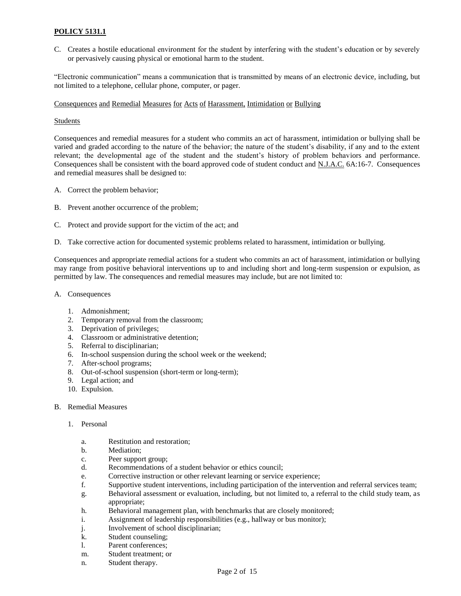C. Creates a hostile educational environment for the student by interfering with the student's education or by severely or pervasively causing physical or emotional harm to the student.

"Electronic communication" means a communication that is transmitted by means of an electronic device, including, but not limited to a telephone, cellular phone, computer, or pager.

### Consequences and Remedial Measures for Acts of Harassment, Intimidation or Bullying

### Students

Consequences and remedial measures for a student who commits an act of harassment, intimidation or bullying shall be varied and graded according to the nature of the behavior; the nature of the student's disability, if any and to the extent relevant; the developmental age of the student and the student's history of problem behaviors and performance. Consequences shall be consistent with the board approved code of student conduct and N.J.A.C. 6A:16-7. Consequences and remedial measures shall be designed to:

- A. Correct the problem behavior;
- B. Prevent another occurrence of the problem;
- C. Protect and provide support for the victim of the act; and
- D. Take corrective action for documented systemic problems related to harassment, intimidation or bullying.

Consequences and appropriate remedial actions for a student who commits an act of harassment, intimidation or bullying may range from positive behavioral interventions up to and including short and long-term suspension or expulsion, as permitted by law. The consequences and remedial measures may include, but are not limited to:

- A. Consequences
	- 1. Admonishment;
	- 2. Temporary removal from the classroom;
	- 3. Deprivation of privileges;
	- 4. Classroom or administrative detention;
	- 5. Referral to disciplinarian;
	- 6. In-school suspension during the school week or the weekend;
	- 7. After-school programs;
	- 8. Out-of-school suspension (short-term or long-term);
	- 9. Legal action; and
	- 10. Expulsion.

#### B. Remedial Measures

- 1. Personal
	- a. Restitution and restoration;
	- b. Mediation;
	- c. Peer support group;
	- d. Recommendations of a student behavior or ethics council;
	- e. Corrective instruction or other relevant learning or service experience;
	- f. Supportive student interventions, including participation of the intervention and referral services team;
	- g. Behavioral assessment or evaluation, including, but not limited to, a referral to the child study team, as appropriate;
	- h. Behavioral management plan, with benchmarks that are closely monitored;
	- i. Assignment of leadership responsibilities (e.g., hallway or bus monitor);
	- j. Involvement of school disciplinarian;
	- k. Student counseling;
	- l. Parent conferences;
	- m. Student treatment; or
	- n. Student therapy.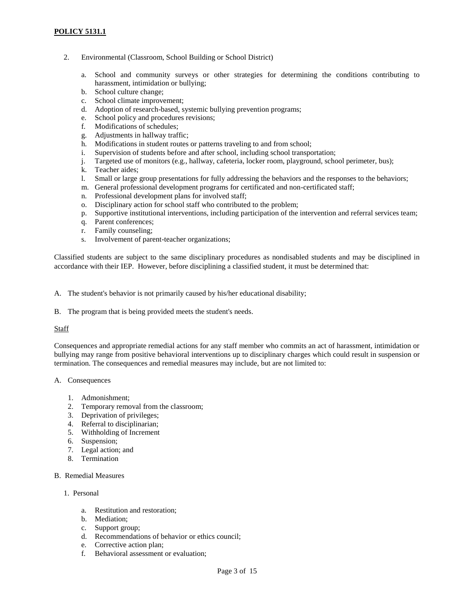- 2. Environmental (Classroom, School Building or School District)
	- a. School and community surveys or other strategies for determining the conditions contributing to harassment, intimidation or bullying;
	- b. School culture change;
	- c. School climate improvement;
	- d. Adoption of research-based, systemic bullying prevention programs;
	- e. School policy and procedures revisions;
	- f. Modifications of schedules;
	- g. Adjustments in hallway traffic;
	- h. Modifications in student routes or patterns traveling to and from school;
	- i. Supervision of students before and after school, including school transportation;
	- j. Targeted use of monitors (e.g., hallway, cafeteria, locker room, playground, school perimeter, bus);
	- k. Teacher aides;
	- l. Small or large group presentations for fully addressing the behaviors and the responses to the behaviors;
	- m. General professional development programs for certificated and non-certificated staff;
	- n. Professional development plans for involved staff;
	- o. Disciplinary action for school staff who contributed to the problem;
	- p. Supportive institutional interventions, including participation of the intervention and referral services team;
	- q. Parent conferences;
	- r. Family counseling;
	- s. Involvement of parent-teacher organizations;

Classified students are subject to the same disciplinary procedures as nondisabled students and may be disciplined in accordance with their IEP. However, before disciplining a classified student, it must be determined that:

A. The student's behavior is not primarily caused by his/her educational disability;

B. The program that is being provided meets the student's needs.

#### Staff

Consequences and appropriate remedial actions for any staff member who commits an act of harassment, intimidation or bullying may range from positive behavioral interventions up to disciplinary charges which could result in suspension or termination. The consequences and remedial measures may include, but are not limited to:

#### A. Consequences

- 1. Admonishment;
- 2. Temporary removal from the classroom;
- 3. Deprivation of privileges;
- 4. Referral to disciplinarian;
- 5. Withholding of Increment
- 6. Suspension;
- 7. Legal action; and
- 8. Termination

### B. Remedial Measures

### 1. Personal

- a. Restitution and restoration;
- b. Mediation;
- c. Support group;
- d. Recommendations of behavior or ethics council;
- e. Corrective action plan;
- f. Behavioral assessment or evaluation;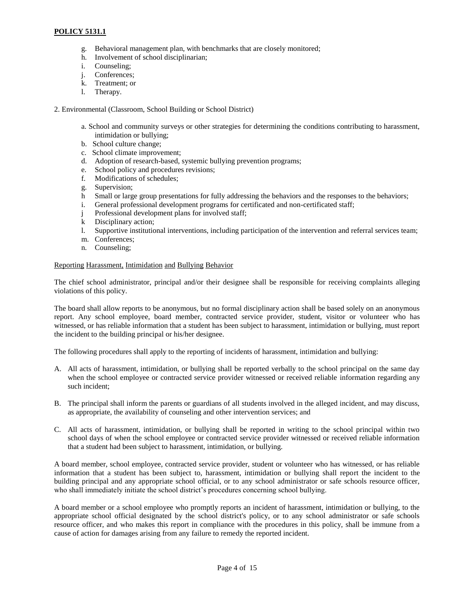- g. Behavioral management plan, with benchmarks that are closely monitored;
- h. Involvement of school disciplinarian;
- i. Counseling;
- j. Conferences;
- k. Treatment; or
- l. Therapy.

2. Environmental (Classroom, School Building or School District)

- a. School and community surveys or other strategies for determining the conditions contributing to harassment, intimidation or bullying;
- b. School culture change;
- c. School climate improvement;
- d. Adoption of research-based, systemic bullying prevention programs;
- e. School policy and procedures revisions;<br>f. Modifications of schedules:
- Modifications of schedules;
- g. Supervision;
- h Small or large group presentations for fully addressing the behaviors and the responses to the behaviors;
- i. General professional development programs for certificated and non-certificated staff;
- j Professional development plans for involved staff;
- k Disciplinary action;
- l. Supportive institutional interventions, including participation of the intervention and referral services team;
- m. Conferences;
- n. Counseling;

### Reporting Harassment, Intimidation and Bullying Behavior

The chief school administrator, principal and/or their designee shall be responsible for receiving complaints alleging violations of this policy.

The board shall allow reports to be anonymous, but no formal disciplinary action shall be based solely on an anonymous report. Any school employee, board member, contracted service provider, student, visitor or volunteer who has witnessed, or has reliable information that a student has been subject to harassment, intimidation or bullying, must report the incident to the building principal or his/her designee.

The following procedures shall apply to the reporting of incidents of harassment, intimidation and bullying:

- A. All acts of harassment, intimidation, or bullying shall be reported verbally to the school principal on the same day when the school employee or contracted service provider witnessed or received reliable information regarding any such incident;
- B. The principal shall inform the parents or guardians of all students involved in the alleged incident, and may discuss, as appropriate, the availability of counseling and other intervention services; and
- C. All acts of harassment, intimidation, or bullying shall be reported in writing to the school principal within two school days of when the school employee or contracted service provider witnessed or received reliable information that a student had been subject to harassment, intimidation, or bullying.

A board member, school employee, contracted service provider, student or volunteer who has witnessed, or has reliable information that a student has been subject to, harassment, intimidation or bullying shall report the incident to the building principal and any appropriate school official, or to any school administrator or safe schools resource officer, who shall immediately initiate the school district's procedures concerning school bullying.

A board member or a school employee who promptly reports an incident of harassment, intimidation or bullying, to the appropriate school official designated by the school district's policy, or to any school administrator or safe schools resource officer, and who makes this report in compliance with the procedures in this policy, shall be immune from a cause of action for damages arising from any failure to remedy the reported incident.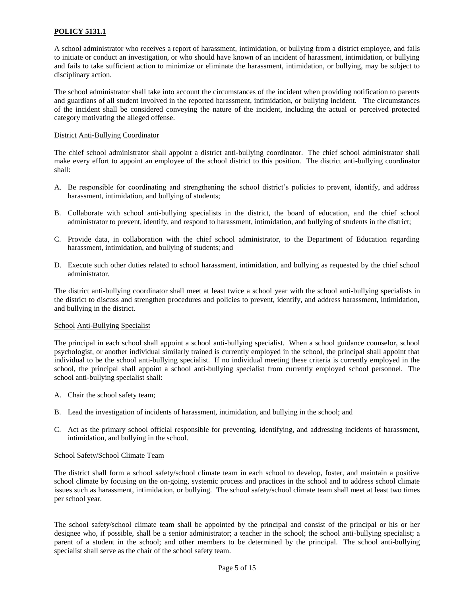A school administrator who receives a report of harassment, intimidation, or bullying from a district employee, and fails to initiate or conduct an investigation, or who should have known of an incident of harassment, intimidation, or bullying and fails to take sufficient action to minimize or eliminate the harassment, intimidation, or bullying, may be subject to disciplinary action.

The school administrator shall take into account the circumstances of the incident when providing notification to parents and guardians of all student involved in the reported harassment, intimidation, or bullying incident. The circumstances of the incident shall be considered conveying the nature of the incident, including the actual or perceived protected category motivating the alleged offense.

### District Anti-Bullying Coordinator

The chief school administrator shall appoint a district anti-bullying coordinator. The chief school administrator shall make every effort to appoint an employee of the school district to this position. The district anti-bullying coordinator shall:

- A. Be responsible for coordinating and strengthening the school district's policies to prevent, identify, and address harassment, intimidation, and bullying of students;
- B. Collaborate with school anti-bullying specialists in the district, the board of education, and the chief school administrator to prevent, identify, and respond to harassment, intimidation, and bullying of students in the district;
- C. Provide data, in collaboration with the chief school administrator, to the Department of Education regarding harassment, intimidation, and bullying of students; and
- D. Execute such other duties related to school harassment, intimidation, and bullying as requested by the chief school administrator.

The district anti-bullying coordinator shall meet at least twice a school year with the school anti-bullying specialists in the district to discuss and strengthen procedures and policies to prevent, identify, and address harassment, intimidation, and bullying in the district.

#### School Anti-Bullying Specialist

The principal in each school shall appoint a school anti-bullying specialist. When a school guidance counselor, school psychologist, or another individual similarly trained is currently employed in the school, the principal shall appoint that individual to be the school anti-bullying specialist. If no individual meeting these criteria is currently employed in the school, the principal shall appoint a school anti-bullying specialist from currently employed school personnel. The school anti-bullying specialist shall:

- A. Chair the school safety team;
- B. Lead the investigation of incidents of harassment, intimidation, and bullying in the school; and
- C. Act as the primary school official responsible for preventing, identifying, and addressing incidents of harassment, intimidation, and bullying in the school.

#### School Safety/School Climate Team

The district shall form a school safety/school climate team in each school to develop, foster, and maintain a positive school climate by focusing on the on-going, systemic process and practices in the school and to address school climate issues such as harassment, intimidation, or bullying. The school safety/school climate team shall meet at least two times per school year.

The school safety/school climate team shall be appointed by the principal and consist of the principal or his or her designee who, if possible, shall be a senior administrator; a teacher in the school; the school anti-bullying specialist; a parent of a student in the school; and other members to be determined by the principal. The school anti-bullying specialist shall serve as the chair of the school safety team.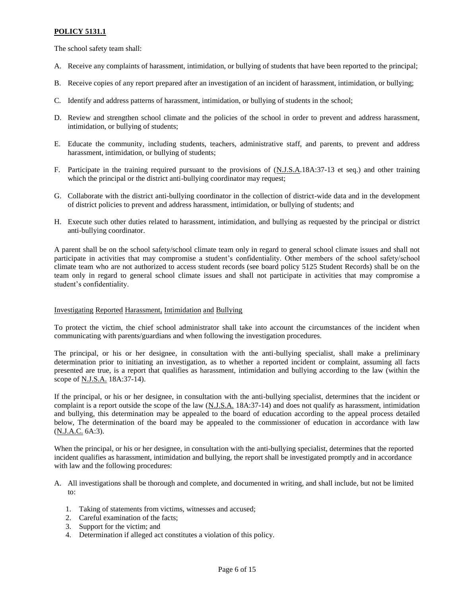The school safety team shall:

- A. Receive any complaints of harassment, intimidation, or bullying of students that have been reported to the principal;
- B. Receive copies of any report prepared after an investigation of an incident of harassment, intimidation, or bullying;
- C. Identify and address patterns of harassment, intimidation, or bullying of students in the school;
- D. Review and strengthen school climate and the policies of the school in order to prevent and address harassment, intimidation, or bullying of students;
- E. Educate the community, including students, teachers, administrative staff, and parents, to prevent and address harassment, intimidation, or bullying of students;
- F. Participate in the training required pursuant to the provisions of (N.J.S.A.18A:37-13 et seq.) and other training which the principal or the district anti-bullying coordinator may request;
- G. Collaborate with the district anti-bullying coordinator in the collection of district-wide data and in the development of district policies to prevent and address harassment, intimidation, or bullying of students; and
- H. Execute such other duties related to harassment, intimidation, and bullying as requested by the principal or district anti-bullying coordinator.

A parent shall be on the school safety/school climate team only in regard to general school climate issues and shall not participate in activities that may compromise a student's confidentiality. Other members of the school safety/school climate team who are not authorized to access student records (see board policy 5125 Student Records) shall be on the team only in regard to general school climate issues and shall not participate in activities that may compromise a student's confidentiality.

### Investigating Reported Harassment, Intimidation and Bullying

To protect the victim, the chief school administrator shall take into account the circumstances of the incident when communicating with parents/guardians and when following the investigation procedures.

The principal, or his or her designee, in consultation with the anti-bullying specialist, shall make a preliminary determination prior to initiating an investigation, as to whether a reported incident or complaint, assuming all facts presented are true, is a report that qualifies as harassment, intimidation and bullying according to the law (within the scope of N.J.S.A. 18A:37-14).

If the principal, or his or her designee, in consultation with the anti-bullying specialist, determines that the incident or complaint is a report outside the scope of the law (N.J.S.A. 18A:37-14) and does not qualify as harassment, intimidation and bullying, this determination may be appealed to the board of education according to the appeal process detailed below, The determination of the board may be appealed to the commissioner of education in accordance with law (N.J.A.C. 6A:3).

When the principal, or his or her designee, in consultation with the anti-bullying specialist, determines that the reported incident qualifies as harassment, intimidation and bullying, the report shall be investigated promptly and in accordance with law and the following procedures:

- A. All investigations shall be thorough and complete, and documented in writing, and shall include, but not be limited to:
	- 1. Taking of statements from victims, witnesses and accused;
	- 2. Careful examination of the facts;
	- 3. Support for the victim; and
	- 4. Determination if alleged act constitutes a violation of this policy.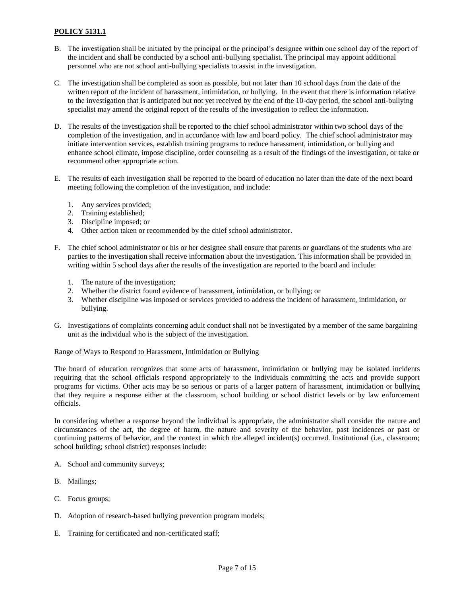- B. The investigation shall be initiated by the principal or the principal's designee within one school day of the report of the incident and shall be conducted by a school anti-bullying specialist. The principal may appoint additional personnel who are not school anti-bullying specialists to assist in the investigation.
- C. The investigation shall be completed as soon as possible, but not later than 10 school days from the date of the written report of the incident of harassment, intimidation, or bullying. In the event that there is information relative to the investigation that is anticipated but not yet received by the end of the 10-day period, the school anti-bullying specialist may amend the original report of the results of the investigation to reflect the information.
- D. The results of the investigation shall be reported to the chief school administrator within two school days of the completion of the investigation, and in accordance with law and board policy. The chief school administrator may initiate intervention services, establish training programs to reduce harassment, intimidation, or bullying and enhance school climate, impose discipline, order counseling as a result of the findings of the investigation, or take or recommend other appropriate action.
- E. The results of each investigation shall be reported to the board of education no later than the date of the next board meeting following the completion of the investigation, and include:
	- 1. Any services provided;
	- 2. Training established;
	- 3. Discipline imposed; or
	- 4. Other action taken or recommended by the chief school administrator.
- F. The chief school administrator or his or her designee shall ensure that parents or guardians of the students who are parties to the investigation shall receive information about the investigation. This information shall be provided in writing within 5 school days after the results of the investigation are reported to the board and include:
	- 1. The nature of the investigation;
	- 2. Whether the district found evidence of harassment, intimidation, or bullying; or
	- 3. Whether discipline was imposed or services provided to address the incident of harassment, intimidation, or bullying.
- G. Investigations of complaints concerning adult conduct shall not be investigated by a member of the same bargaining unit as the individual who is the subject of the investigation.

#### Range of Ways to Respond to Harassment, Intimidation or Bullying

The board of education recognizes that some acts of harassment, intimidation or bullying may be isolated incidents requiring that the school officials respond appropriately to the individuals committing the acts and provide support programs for victims. Other acts may be so serious or parts of a larger pattern of harassment, intimidation or bullying that they require a response either at the classroom, school building or school district levels or by law enforcement officials.

In considering whether a response beyond the individual is appropriate, the administrator shall consider the nature and circumstances of the act, the degree of harm, the nature and severity of the behavior, past incidences or past or continuing patterns of behavior, and the context in which the alleged incident(s) occurred. Institutional (i.e., classroom; school building; school district) responses include:

- A. School and community surveys;
- B. Mailings;
- C. Focus groups;
- D. Adoption of research-based bullying prevention program models;
- E. Training for certificated and non-certificated staff;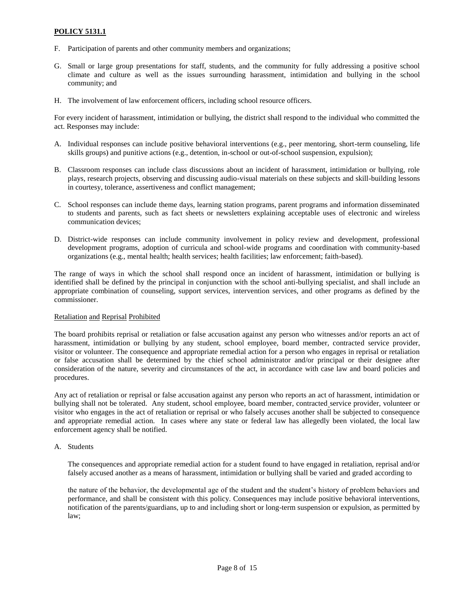- F. Participation of parents and other community members and organizations;
- G. Small or large group presentations for staff, students, and the community for fully addressing a positive school climate and culture as well as the issues surrounding harassment, intimidation and bullying in the school community; and
- H. The involvement of law enforcement officers, including school resource officers.

For every incident of harassment, intimidation or bullying, the district shall respond to the individual who committed the act. Responses may include:

- A. Individual responses can include positive behavioral interventions (e.g., peer mentoring, short-term counseling, life skills groups) and punitive actions (e.g., detention, in-school or out-of-school suspension, expulsion);
- B. Classroom responses can include class discussions about an incident of harassment, intimidation or bullying, role plays, research projects, observing and discussing audio-visual materials on these subjects and skill-building lessons in courtesy, tolerance, assertiveness and conflict management;
- C. School responses can include theme days, learning station programs, parent programs and information disseminated to students and parents, such as fact sheets or newsletters explaining acceptable uses of electronic and wireless communication devices;
- D. District-wide responses can include community involvement in policy review and development, professional development programs, adoption of curricula and school-wide programs and coordination with community-based organizations (e.g., mental health; health services; health facilities; law enforcement; faith-based).

The range of ways in which the school shall respond once an incident of harassment, intimidation or bullying is identified shall be defined by the principal in conjunction with the school anti-bullying specialist, and shall include an appropriate combination of counseling, support services, intervention services, and other programs as defined by the commissioner.

#### Retaliation and Reprisal Prohibited

The board prohibits reprisal or retaliation or false accusation against any person who witnesses and/or reports an act of harassment, intimidation or bullying by any student, school employee, board member, contracted service provider, visitor or volunteer. The consequence and appropriate remedial action for a person who engages in reprisal or retaliation or false accusation shall be determined by the chief school administrator and/or principal or their designee after consideration of the nature, severity and circumstances of the act, in accordance with case law and board policies and procedures.

Any act of retaliation or reprisal or false accusation against any person who reports an act of harassment, intimidation or bullying shall not be tolerated. Any student, school employee, board member, contracted service provider, volunteer or visitor who engages in the act of retaliation or reprisal or who falsely accuses another shall be subjected to consequence and appropriate remedial action. In cases where any state or federal law has allegedly been violated, the local law enforcement agency shall be notified.

A. Students

The consequences and appropriate remedial action for a student found to have engaged in retaliation, reprisal and/or falsely accused another as a means of harassment, intimidation or bullying shall be varied and graded according to

the nature of the behavior, the developmental age of the student and the student's history of problem behaviors and performance, and shall be consistent with this policy. Consequences may include positive behavioral interventions, notification of the parents/guardians, up to and including short or long-term suspension or expulsion, as permitted by law;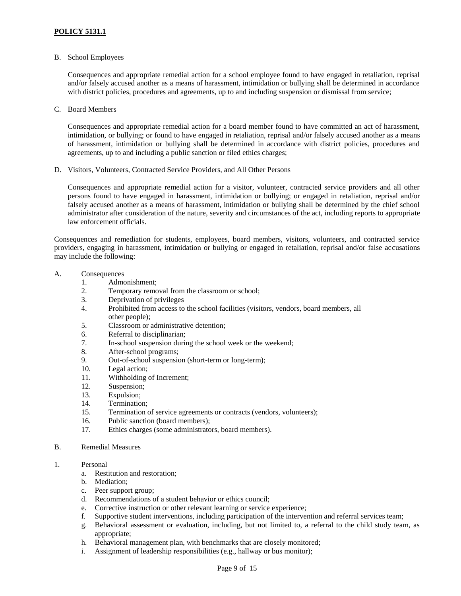B. School Employees

Consequences and appropriate remedial action for a school employee found to have engaged in retaliation, reprisal and/or falsely accused another as a means of harassment, intimidation or bullying shall be determined in accordance with district policies, procedures and agreements, up to and including suspension or dismissal from service;

C. Board Members

Consequences and appropriate remedial action for a board member found to have committed an act of harassment, intimidation, or bullying; or found to have engaged in retaliation, reprisal and/or falsely accused another as a means of harassment, intimidation or bullying shall be determined in accordance with district policies, procedures and agreements, up to and including a public sanction or filed ethics charges;

D. Visitors, Volunteers, Contracted Service Providers, and All Other Persons

Consequences and appropriate remedial action for a visitor, volunteer, contracted service providers and all other persons found to have engaged in harassment, intimidation or bullying; or engaged in retaliation, reprisal and/or falsely accused another as a means of harassment, intimidation or bullying shall be determined by the chief school administrator after consideration of the nature, severity and circumstances of the act, including reports to appropriate law enforcement officials.

Consequences and remediation for students, employees, board members, visitors, volunteers, and contracted service providers, engaging in harassment, intimidation or bullying or engaged in retaliation, reprisal and/or false accusations may include the following:

### A. Consequences

- 1. Admonishment;
- 2. Temporary removal from the classroom or school;
- 3. Deprivation of privileges
- 4. Prohibited from access to the school facilities (visitors, vendors, board members, all other people);
- 5. Classroom or administrative detention;
- 6. Referral to disciplinarian;
- 7. In-school suspension during the school week or the weekend;
- 8. After-school programs;
- 9. Out-of-school suspension (short-term or long-term);
- 10. Legal action;
- 11. Withholding of Increment;
- 12. Suspension;
- 13. Expulsion;
- 14. Termination;
- 15. Termination of service agreements or contracts (vendors, volunteers);
- 16. Public sanction (board members);
- 17. Ethics charges (some administrators, board members).

#### B. Remedial Measures

- 1. Personal
	- a. Restitution and restoration;
	- b. Mediation;
	- c. Peer support group;
	- d. Recommendations of a student behavior or ethics council;
	- e. Corrective instruction or other relevant learning or service experience;
	- f. Supportive student interventions, including participation of the intervention and referral services team;
	- g. Behavioral assessment or evaluation, including, but not limited to, a referral to the child study team, as appropriate;
	- h. Behavioral management plan, with benchmarks that are closely monitored;
	- i. Assignment of leadership responsibilities (e.g., hallway or bus monitor);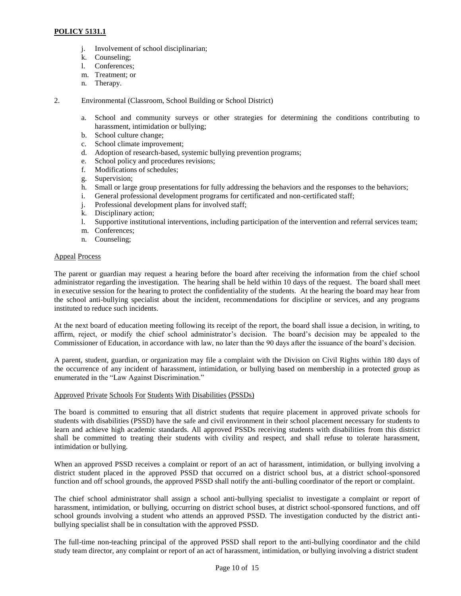- j. Involvement of school disciplinarian;
- k. Counseling;
- l. Conferences;
- m. Treatment; or
- n. Therapy.
- 2. Environmental (Classroom, School Building or School District)
	- a. School and community surveys or other strategies for determining the conditions contributing to harassment, intimidation or bullying;
	- b. School culture change;
	- c. School climate improvement;
	- d. Adoption of research-based, systemic bullying prevention programs;
	- e. School policy and procedures revisions;
	- f. Modifications of schedules;
	- g. Supervision;
	- h. Small or large group presentations for fully addressing the behaviors and the responses to the behaviors;
	- i. General professional development programs for certificated and non-certificated staff;
	- j. Professional development plans for involved staff;
	- k. Disciplinary action;
	- l. Supportive institutional interventions, including participation of the intervention and referral services team;
	- m. Conferences;
	- n. Counseling;

### Appeal Process

The parent or guardian may request a hearing before the board after receiving the information from the chief school administrator regarding the investigation. The hearing shall be held within 10 days of the request. The board shall meet in executive session for the hearing to protect the confidentiality of the students. At the hearing the board may hear from the school anti-bullying specialist about the incident, recommendations for discipline or services, and any programs instituted to reduce such incidents.

At the next board of education meeting following its receipt of the report, the board shall issue a decision, in writing, to affirm, reject, or modify the chief school administrator's decision. The board's decision may be appealed to the Commissioner of Education, in accordance with law, no later than the 90 days after the issuance of the board's decision.

A parent, student, guardian, or organization may file a complaint with the Division on Civil Rights within 180 days of the occurrence of any incident of harassment, intimidation, or bullying based on membership in a protected group as enumerated in the "Law Against Discrimination."

### Approved Private Schools For Students With Disabilities (PSSDs)

The board is committed to ensuring that all district students that require placement in approved private schools for students with disabilities (PSSD) have the safe and civil environment in their school placement necessary for students to learn and achieve high academic standards. All approved PSSDs receiving students with disabilities from this district shall be committed to treating their students with civility and respect, and shall refuse to tolerate harassment, intimidation or bullying.

When an approved PSSD receives a complaint or report of an act of harassment, intimidation, or bullying involving a district student placed in the approved PSSD that occurred on a district school bus, at a district school-sponsored function and off school grounds, the approved PSSD shall notify the anti-bulling coordinator of the report or complaint.

The chief school administrator shall assign a school anti-bullying specialist to investigate a complaint or report of harassment, intimidation, or bullying, occurring on district school buses, at district school-sponsored functions, and off school grounds involving a student who attends an approved PSSD. The investigation conducted by the district antibullying specialist shall be in consultation with the approved PSSD.

The full-time non-teaching principal of the approved PSSD shall report to the anti-bullying coordinator and the child study team director, any complaint or report of an act of harassment, intimidation, or bullying involving a district student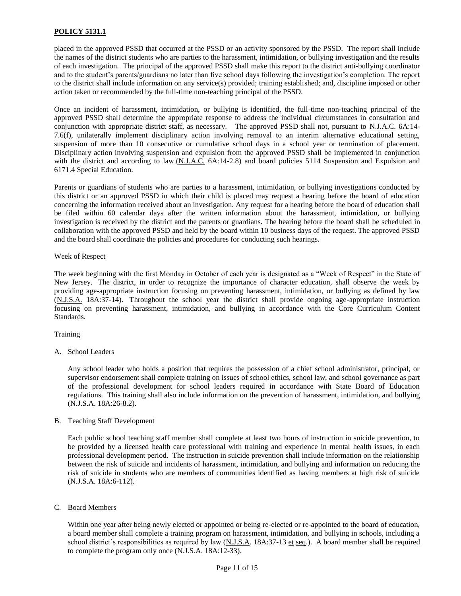placed in the approved PSSD that occurred at the PSSD or an activity sponsored by the PSSD. The report shall include the names of the district students who are parties to the harassment, intimidation, or bullying investigation and the results of each investigation. The principal of the approved PSSD shall make this report to the district anti-bullying coordinator and to the student's parents/guardians no later than five school days following the investigation's completion. The report to the district shall include information on any service(s) provided; training established; and, discipline imposed or other action taken or recommended by the full-time non-teaching principal of the PSSD.

Once an incident of harassment, intimidation, or bullying is identified, the full-time non-teaching principal of the approved PSSD shall determine the appropriate response to address the individual circumstances in consultation and conjunction with appropriate district staff, as necessary. The approved PSSD shall not, pursuant to N.J.A.C. 6A:14- 7.6(f), unilaterally implement disciplinary action involving removal to an interim alternative educational setting, suspension of more than 10 consecutive or cumulative school days in a school year or termination of placement. Disciplinary action involving suspension and expulsion from the approved PSSD shall be implemented in conjunction with the district and according to law (N.J.A.C. 6A:14-2.8) and board policies 5114 Suspension and Expulsion and 6171.4 Special Education.

Parents or guardians of students who are parties to a harassment, intimidation, or bullying investigations conducted by this district or an approved PSSD in which their child is placed may request a hearing before the board of education concerning the information received about an investigation. Any request for a hearing before the board of education shall be filed within 60 calendar days after the written information about the harassment, intimidation, or bullying investigation is received by the district and the parents or guardians. The hearing before the board shall be scheduled in collaboration with the approved PSSD and held by the board within 10 business days of the request. The approved PSSD and the board shall coordinate the policies and procedures for conducting such hearings.

### Week of Respect

The week beginning with the first Monday in October of each year is designated as a "Week of Respect" in the State of New Jersey. The district, in order to recognize the importance of character education, shall observe the week by providing age-appropriate instruction focusing on preventing harassment, intimidation, or bullying as defined by law (N.J.S.A. 18A:37-14). Throughout the school year the district shall provide ongoing age-appropriate instruction focusing on preventing harassment, intimidation, and bullying in accordance with the Core Curriculum Content Standards.

### **Training**

A. School Leaders

Any school leader who holds a position that requires the possession of a chief school administrator, principal, or supervisor endorsement shall complete training on issues of school ethics, school law, and school governance as part of the professional development for school leaders required in accordance with State Board of Education regulations. This training shall also include information on the prevention of harassment, intimidation, and bullying (N.J.S.A. 18A:26-8.2).

### B. Teaching Staff Development

Each public school teaching staff member shall complete at least two hours of instruction in suicide prevention, to be provided by a licensed health care professional with training and experience in mental health issues, in each professional development period. The instruction in suicide prevention shall include information on the relationship between the risk of suicide and incidents of harassment, intimidation, and bullying and information on reducing the risk of suicide in students who are members of communities identified as having members at high risk of suicide (N.J.S.A. 18A:6-112).

C. Board Members

Within one year after being newly elected or appointed or being re-elected or re-appointed to the board of education, a board member shall complete a training program on harassment, intimidation, and bullying in schools, including a school district's responsibilities as required by law  $(N.J.S.A. 18A:37-13 \text{ et seq.})$ . A board member shall be required to complete the program only once (N.J.S.A. 18A:12-33).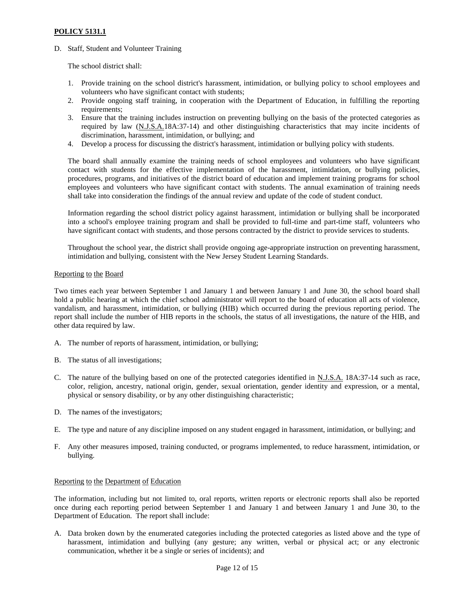D. Staff, Student and Volunteer Training

The school district shall:

- 1. Provide training on the school district's harassment, intimidation, or bullying policy to school employees and volunteers who have significant contact with students;
- 2. Provide ongoing staff training, in cooperation with the Department of Education, in fulfilling the reporting requirements:
- 3. Ensure that the training includes instruction on preventing bullying on the basis of the protected categories as required by law (N.J.S.A.18A:37-14) and other distinguishing characteristics that may incite incidents of discrimination, harassment, intimidation, or bullying; and
- 4. Develop a process for discussing the district's harassment, intimidation or bullying policy with students.

The board shall annually examine the training needs of school employees and volunteers who have significant contact with students for the effective implementation of the harassment, intimidation, or bullying policies, procedures, programs, and initiatives of the district board of education and implement training programs for school employees and volunteers who have significant contact with students. The annual examination of training needs shall take into consideration the findings of the annual review and update of the code of student conduct.

Information regarding the school district policy against harassment, intimidation or bullying shall be incorporated into a school's employee training program and shall be provided to full-time and part-time staff, volunteers who have significant contact with students, and those persons contracted by the district to provide services to students.

Throughout the school year, the district shall provide ongoing age-appropriate instruction on preventing harassment, intimidation and bullying, consistent with the New Jersey Student Learning Standards.

### Reporting to the Board

Two times each year between September 1 and January 1 and between January 1 and June 30, the school board shall hold a public hearing at which the chief school administrator will report to the board of education all acts of violence, vandalism, and harassment, intimidation, or bullying (HIB) which occurred during the previous reporting period. The report shall include the number of HIB reports in the schools, the status of all investigations, the nature of the HIB, and other data required by law.

- A. The number of reports of harassment, intimidation, or bullying;
- B. The status of all investigations;
- C. The nature of the bullying based on one of the protected categories identified in N.J.S.A. 18A:37-14 such as race, color, religion, ancestry, national origin, gender, sexual orientation, gender identity and expression, or a mental, physical or sensory disability, or by any other distinguishing characteristic;
- D. The names of the investigators;
- E. The type and nature of any discipline imposed on any student engaged in harassment, intimidation, or bullying; and
- F. Any other measures imposed, training conducted, or programs implemented, to reduce harassment, intimidation, or bullying.

#### Reporting to the Department of Education

The information, including but not limited to, oral reports, written reports or electronic reports shall also be reported once during each reporting period between September 1 and January 1 and between January 1 and June 30, to the Department of Education. The report shall include:

A. Data broken down by the enumerated categories including the protected categories as listed above and the type of harassment, intimidation and bullying (any gesture; any written, verbal or physical act; or any electronic communication, whether it be a single or series of incidents); and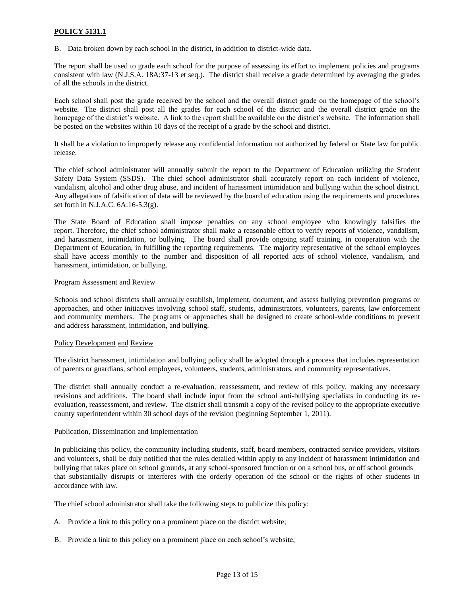B. Data broken down by each school in the district, in addition to district-wide data.

The report shall be used to grade each school for the purpose of assessing its effort to implement policies and programs consistent with law (N.J.S.A. 18A:37-13 et seq.). The district shall receive a grade determined by averaging the grades of all the schools in the district.

Each school shall post the grade received by the school and the overall district grade on the homepage of the school's website. The district shall post all the grades for each school of the district and the overall district grade on the homepage of the district's website. A link to the report shall be available on the district's website. The information shall be posted on the websites within 10 days of the receipt of a grade by the school and district.

It shall be a violation to improperly release any confidential information not authorized by federal or State law for public release.

The chief school administrator will annually submit the report to the Department of Education utilizing the Student Safety Data System (SSDS). The chief school administrator shall accurately report on each incident of violence, vandalism, alcohol and other drug abuse, and incident of harassment intimidation and bullying within the school district. Any allegations of falsification of data will be reviewed by the board of education using the requirements and procedures set forth in N.J.A.C. 6A:16-5.3(g).

The State Board of Education shall impose penalties on any school employee who knowingly falsifies the report. Therefore, the chief school administrator shall make a reasonable effort to verify reports of violence, vandalism, and harassment, intimidation, or bullying. The board shall provide ongoing staff training, in cooperation with the Department of Education, in fulfilling the reporting requirements. The majority representative of the school employees shall have access monthly to the number and disposition of all reported acts of school violence, vandalism, and harassment, intimidation, or bullying.

### Program Assessment and Review

Schools and school districts shall annually establish, implement, document, and assess bullying prevention programs or approaches, and other initiatives involving school staff, students, administrators, volunteers, parents, law enforcement and community members. The programs or approaches shall be designed to create school-wide conditions to prevent and address harassment, intimidation, and bullying.

### Policy Development and Review

The district harassment, intimidation and bullying policy shall be adopted through a process that includes representation of parents or guardians, school employees, volunteers, students, administrators, and community representatives.

The district shall annually conduct a re-evaluation, reassessment, and review of this policy, making any necessary revisions and additions. The board shall include input from the school anti-bullying specialists in conducting its reevaluation, reassessment, and review. The district shall transmit a copy of the revised policy to the appropriate executive county superintendent within 30 school days of the revision (beginning September 1, 2011).

#### Publication, Dissemination and Implementation

In publicizing this policy, the community including students, staff, board members, contracted service providers, visitors and volunteers, shall be duly notified that the rules detailed within apply to any incident of harassment intimidation and bullying that takes place on school grounds**,** at any school-sponsored function or on a school bus, or off school grounds that substantially disrupts or interferes with the orderly operation of the school or the rights of other students in accordance with law.

The chief school administrator shall take the following steps to publicize this policy:

- A. Provide a link to this policy on a prominent place on the district website;
- B. Provide a link to this policy on a prominent place on each school's website;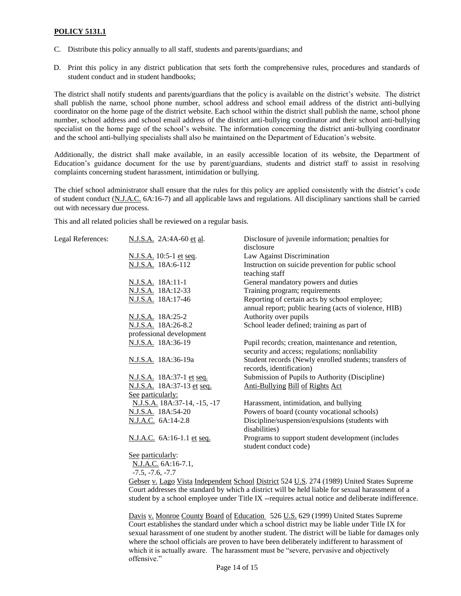- C. Distribute this policy annually to all staff, students and parents/guardians; and
- D. Print this policy in any district publication that sets forth the comprehensive rules, procedures and standards of student conduct and in student handbooks;

The district shall notify students and parents/guardians that the policy is available on the district's website. The district shall publish the name, school phone number, school address and school email address of the district anti-bullying coordinator on the home page of the district website. Each school within the district shall publish the name, school phone number, school address and school email address of the district anti-bullying coordinator and their school anti-bullying specialist on the home page of the school's website. The information concerning the district anti-bullying coordinator and the school anti-bullying specialists shall also be maintained on the Department of Education's website.

Additionally, the district shall make available, in an easily accessible location of its website, the Department of Education's guidance document for the use by parent/guardians, students and district staff to assist in resolving complaints concerning student harassment, intimidation or bullying.

The chief school administrator shall ensure that the rules for this policy are applied consistently with the district's code of student conduct (N.J.A.C. 6A:16-7) and all applicable laws and regulations. All disciplinary sanctions shall be carried out with necessary due process.

This and all related policies shall be reviewed on a regular basis.

| Legal References: | N.J.S.A. 2A:4A-60 et al.     | Disclosure of juvenile information; penalties for<br>disclosure                                        |
|-------------------|------------------------------|--------------------------------------------------------------------------------------------------------|
|                   | N.J.S.A. 10:5-1 et seq.      | Law Against Discrimination                                                                             |
|                   | N.J.S.A. 18A:6-112           | Instruction on suicide prevention for public school<br>teaching staff                                  |
|                   | N.J.S.A. 18A:11-1            | General mandatory powers and duties                                                                    |
|                   | N.J.S.A. 18A:12-33           | Training program; requirements                                                                         |
|                   | N.J.S.A. 18A:17-46           | Reporting of certain acts by school employee;<br>annual report; public hearing (acts of violence, HIB) |
|                   | N.J.S.A. 18A:25-2            | Authority over pupils                                                                                  |
|                   | N.J.S.A. 18A:26-8.2          | School leader defined; training as part of                                                             |
|                   | professional development     |                                                                                                        |
|                   | N.J.S.A. 18A:36-19           | Pupil records; creation, maintenance and retention,<br>security and access; regulations; nonliability  |
|                   | N.J.S.A. 18A:36-19a          | Student records (Newly enrolled students; transfers of<br>records, identification)                     |
|                   | N.J.S.A. 18A:37-1 et seq.    | Submission of Pupils to Authority (Discipline)                                                         |
|                   | N.J.S.A. 18A:37-13 et seq.   | Anti-Bullying Bill of Rights Act                                                                       |
|                   | See particularly:            |                                                                                                        |
|                   | N.J.S.A. 18A:37-14, -15, -17 | Harassment, intimidation, and bullying                                                                 |
|                   | N.J.S.A. 18A:54-20           | Powers of board (county vocational schools)                                                            |
|                   | N.J.A.C. 6A:14-2.8           | Discipline/suspension/expulsions (students with<br>disabilities)                                       |
|                   | N.J.A.C. 6A:16-1.1 et seq.   | Programs to support student development (includes<br>student conduct code)                             |
|                   | See particularly:            |                                                                                                        |
|                   | N.J.A.C. 6A:16-7.1,          |                                                                                                        |
|                   | $-7.5, -7.6, -7.7$           |                                                                                                        |
|                   |                              |                                                                                                        |

Gebser v. Lago Vista Independent School District 524 U.S. 274 (1989) United States Supreme Court addresses the standard by which a district will be held liable for sexual harassment of a student by a school employee under Title IX --requires actual notice and deliberate indifference.

Davis v. Monroe County Board of Education 526 U.S. 629 (1999) United States Supreme Court establishes the standard under which a school district may be liable under Title IX for sexual harassment of one student by another student. The district will be liable for damages only where the school officials are proven to have been deliberately indifferent to harassment of which it is actually aware. The harassment must be "severe, pervasive and objectively offensive."